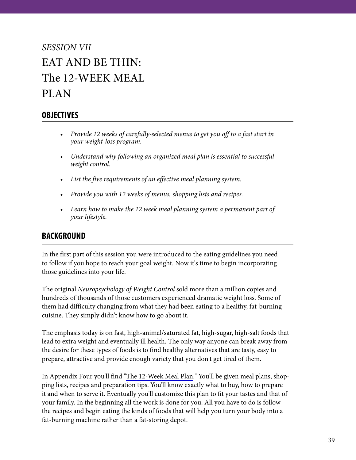## *SESSION VII* EAT AND BE THIN: The 12-WEEK MEAL PLAN

## **OBJECTIVES**

- *Provide 12 weeks of carefully-selected menus to get you off to a fast start in your weight-loss program.*
- *Understand why following an organized meal plan is essential to successful weight control.*
- *List the five requirements of an effective meal planning system.*
- *Provide you with 12 weeks of menus, shopping lists and recipes.*
- *Learn how to make the 12 week meal planning system a permanent part of your lifestyle.*

## **BACKGROUND**

In the first part of this session you were introduced to the eating guidelines you need to follow if you hope to reach your goal weight. Now it's time to begin incorporating those guidelines into your life.

The original *Neuropsychology of Weight Control* sold more than a million copies and hundreds of thousands of those customers experienced dramatic weight loss. Some of them had difficulty changing from what they had been eating to a healthy, fat-burning cuisine. They simply didn't know how to go about it.

The emphasis today is on fast, high-animal/saturated fat, high-sugar, high-salt foods that lead to extra weight and eventually ill health. The only way anyone can break away from the desire for these types of foods is to find healthy alternatives that are tasty, easy to prepare, attractive and provide enough variety that you don't get tired of them.

In Appendix Four you'll find "The 12-Week Meal Plan." You'll be given meal plans, shopping lists, recipes and preparation tips. You'll know exactly what to buy, how to prepare it and when to serve it. Eventually you'll customize this plan to fit your tastes and that of your family. In the beginning all the work is done for you. All you have to do is follow the recipes and begin eating the kinds of foods that will help you turn your body into a fat-burning machine rather than a fat-storing depot.